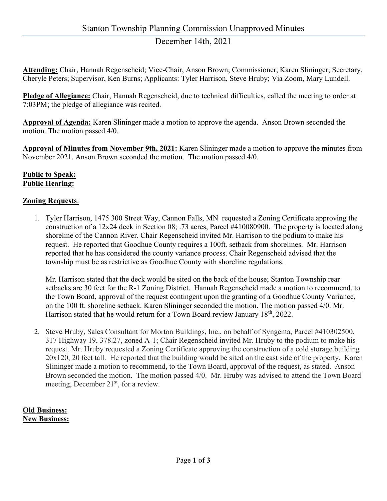# December 14th, 2021

Attending: Chair, Hannah Regenscheid; Vice-Chair, Anson Brown; Commissioner, Karen Slininger; Secretary, Cheryle Peters; Supervisor, Ken Burns; Applicants: Tyler Harrison, Steve Hruby; Via Zoom, Mary Lundell.

Pledge of Allegiance: Chair, Hannah Regenscheid, due to technical difficulties, called the meeting to order at 7:03PM; the pledge of allegiance was recited.

Approval of Agenda: Karen Slininger made a motion to approve the agenda. Anson Brown seconded the motion. The motion passed 4/0.

Approval of Minutes from November 9th, 2021: Karen Slininger made a motion to approve the minutes from November 2021. Anson Brown seconded the motion. The motion passed 4/0.

### Public to Speak: Public Hearing:

### Zoning Requests:

1. Tyler Harrison, 1475 300 Street Way, Cannon Falls, MN requested a Zoning Certificate approving the construction of a 12x24 deck in Section 08; .73 acres, Parcel #410080900. The property is located along shoreline of the Cannon River. Chair Regenscheid invited Mr. Harrison to the podium to make his request. He reported that Goodhue County requires a 100ft. setback from shorelines. Mr. Harrison reported that he has considered the county variance process. Chair Regenscheid advised that the township must be as restrictive as Goodhue County with shoreline regulations.

Mr. Harrison stated that the deck would be sited on the back of the house; Stanton Township rear setbacks are 30 feet for the R-1 Zoning District. Hannah Regenscheid made a motion to recommend, to the Town Board, approval of the request contingent upon the granting of a Goodhue County Variance, on the 100 ft. shoreline setback. Karen Slininger seconded the motion. The motion passed 4/0. Mr. Harrison stated that he would return for a Town Board review January 18<sup>th</sup>, 2022.

2. Steve Hruby, Sales Consultant for Morton Buildings, Inc., on behalf of Syngenta, Parcel #410302500, 317 Highway 19, 378.27, zoned A-1; Chair Regenscheid invited Mr. Hruby to the podium to make his request. Mr. Hruby requested a Zoning Certificate approving the construction of a cold storage building 20x120, 20 feet tall. He reported that the building would be sited on the east side of the property. Karen Slininger made a motion to recommend, to the Town Board, approval of the request, as stated. Anson Brown seconded the motion. The motion passed 4/0. Mr. Hruby was advised to attend the Town Board meeting, December 21<sup>st</sup>, for a review.

### Old Business: New Business: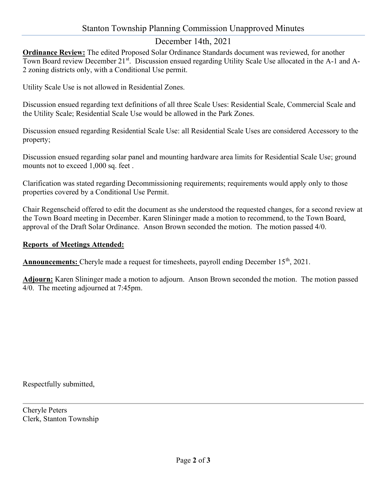# Stanton Township Planning Commission Unapproved Minutes

# December 14th, 2021

Ordinance Review: The edited Proposed Solar Ordinance Standards document was reviewed, for another Town Board review December 21<sup>st</sup>. Discussion ensued regarding Utility Scale Use allocated in the A-1 and A-2 zoning districts only, with a Conditional Use permit.

Utility Scale Use is not allowed in Residential Zones.

Discussion ensued regarding text definitions of all three Scale Uses: Residential Scale, Commercial Scale and the Utility Scale; Residential Scale Use would be allowed in the Park Zones.

Discussion ensued regarding Residential Scale Use: all Residential Scale Uses are considered Accessory to the property;

Discussion ensued regarding solar panel and mounting hardware area limits for Residential Scale Use; ground mounts not to exceed 1,000 sq. feet .

Clarification was stated regarding Decommissioning requirements; requirements would apply only to those properties covered by a Conditional Use Permit.

Chair Regenscheid offered to edit the document as she understood the requested changes, for a second review at the Town Board meeting in December. Karen Slininger made a motion to recommend, to the Town Board, approval of the Draft Solar Ordinance. Anson Brown seconded the motion. The motion passed 4/0.

#### Reports of Meetings Attended:

**Announcements:** Cheryle made a request for timesheets, payroll ending December  $15<sup>th</sup>$ , 2021.

Adjourn: Karen Slininger made a motion to adjourn. Anson Brown seconded the motion. The motion passed 4/0. The meeting adjourned at 7:45pm.

Respectfully submitted,

Cheryle Peters Clerk, Stanton Township